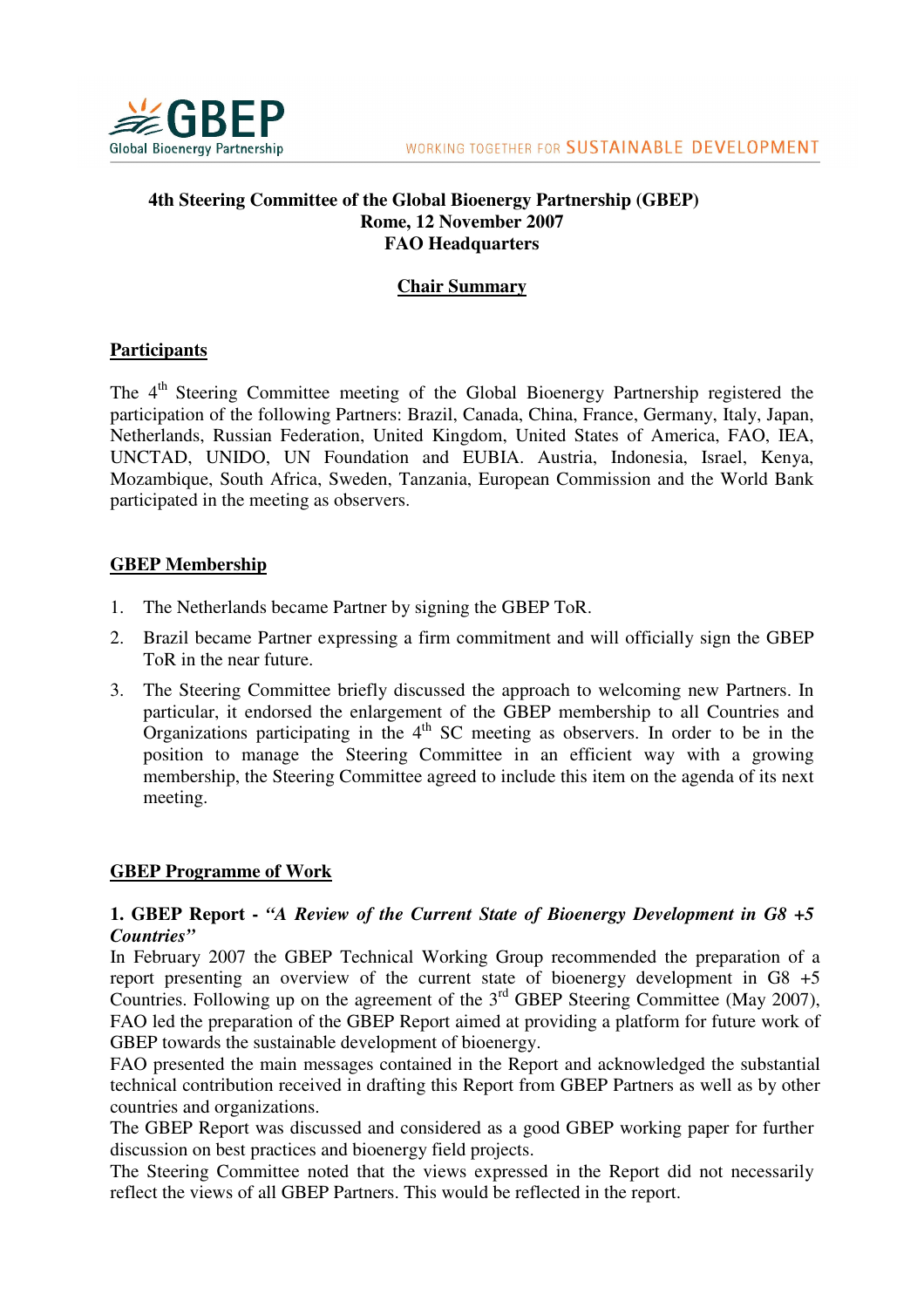

### **4th Steering Committee of the Global Bioenergy Partnership (GBEP) Rome, 12 November 2007 FAO Headquarters**

# **Chair Summary**

## **Participants**

The 4<sup>th</sup> Steering Committee meeting of the Global Bioenergy Partnership registered the participation of the following Partners: Brazil, Canada, China, France, Germany, Italy, Japan, Netherlands, Russian Federation, United Kingdom, United States of America, FAO, IEA, UNCTAD, UNIDO, UN Foundation and EUBIA. Austria, Indonesia, Israel, Kenya, Mozambique, South Africa, Sweden, Tanzania, European Commission and the World Bank participated in the meeting as observers.

## **GBEP Membership**

- 1. The Netherlands became Partner by signing the GBEP ToR.
- 2. Brazil became Partner expressing a firm commitment and will officially sign the GBEP ToR in the near future.
- 3. The Steering Committee briefly discussed the approach to welcoming new Partners. In particular, it endorsed the enlargement of the GBEP membership to all Countries and Organizations participating in the  $4<sup>th</sup>$  SC meeting as observers. In order to be in the position to manage the Steering Committee in an efficient way with a growing membership, the Steering Committee agreed to include this item on the agenda of its next meeting.

## **GBEP Programme of Work**

### **1. GBEP Report -** *"A Review of the Current State of Bioenergy Development in G8 +5 Countries"*

In February 2007 the GBEP Technical Working Group recommended the preparation of a report presenting an overview of the current state of bioenergy development in G8 +5 Countries. Following up on the agreement of the  $3<sup>rd</sup>$  GBEP Steering Committee (May 2007), FAO led the preparation of the GBEP Report aimed at providing a platform for future work of GBEP towards the sustainable development of bioenergy.

FAO presented the main messages contained in the Report and acknowledged the substantial technical contribution received in drafting this Report from GBEP Partners as well as by other countries and organizations.

The GBEP Report was discussed and considered as a good GBEP working paper for further discussion on best practices and bioenergy field projects.

The Steering Committee noted that the views expressed in the Report did not necessarily reflect the views of all GBEP Partners. This would be reflected in the report.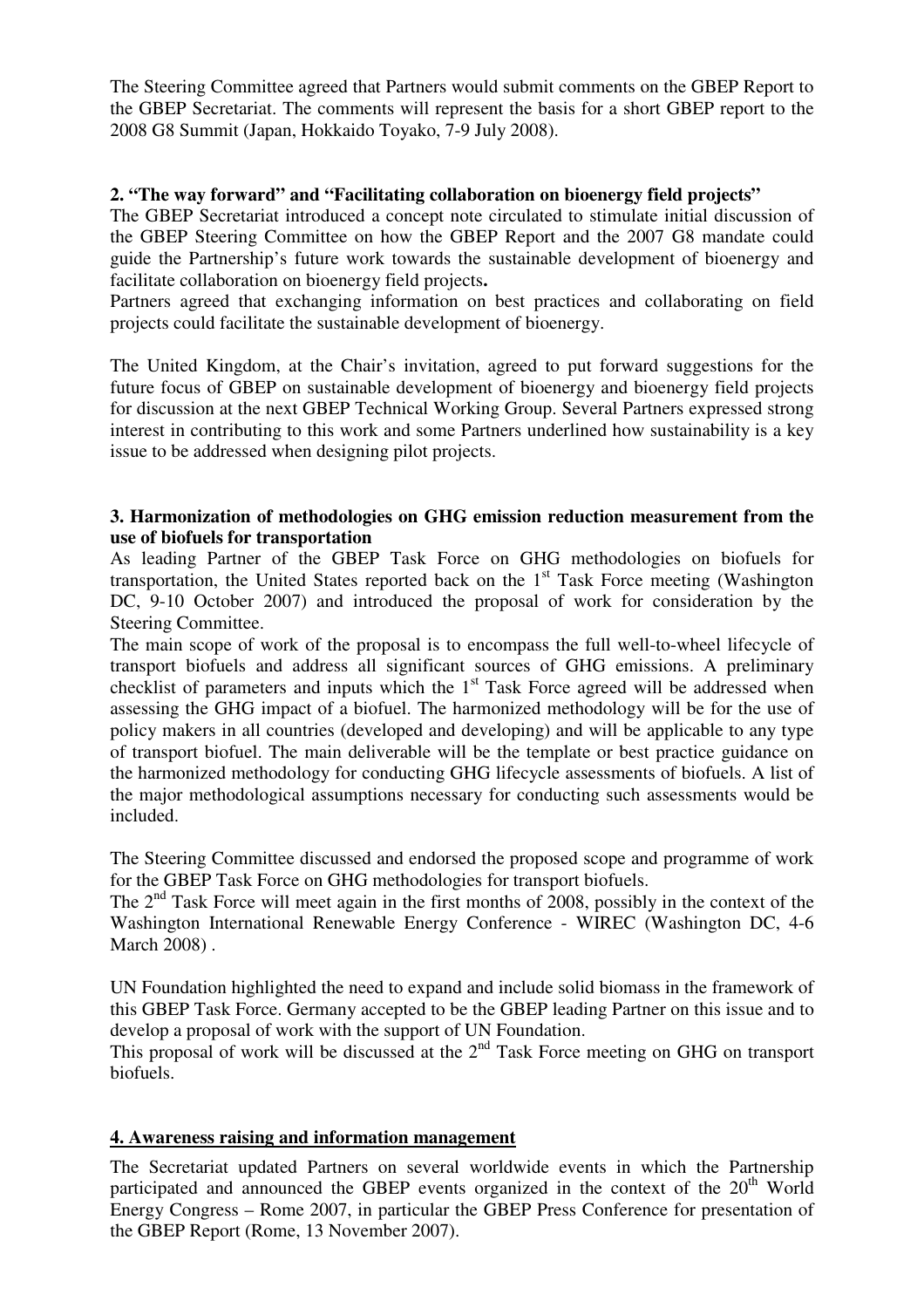The Steering Committee agreed that Partners would submit comments on the GBEP Report to the GBEP Secretariat. The comments will represent the basis for a short GBEP report to the 2008 G8 Summit (Japan, Hokkaido Toyako, 7-9 July 2008).

### **2. "The way forward" and "Facilitating collaboration on bioenergy field projects"**

The GBEP Secretariat introduced a concept note circulated to stimulate initial discussion of the GBEP Steering Committee on how the GBEP Report and the 2007 G8 mandate could guide the Partnership's future work towards the sustainable development of bioenergy and facilitate collaboration on bioenergy field projects**.** 

Partners agreed that exchanging information on best practices and collaborating on field projects could facilitate the sustainable development of bioenergy.

The United Kingdom, at the Chair's invitation, agreed to put forward suggestions for the future focus of GBEP on sustainable development of bioenergy and bioenergy field projects for discussion at the next GBEP Technical Working Group. Several Partners expressed strong interest in contributing to this work and some Partners underlined how sustainability is a key issue to be addressed when designing pilot projects.

#### **3. Harmonization of methodologies on GHG emission reduction measurement from the use of biofuels for transportation**

As leading Partner of the GBEP Task Force on GHG methodologies on biofuels for transportation, the United States reported back on the  $1<sup>st</sup>$  Task Force meeting (Washington DC, 9-10 October 2007) and introduced the proposal of work for consideration by the Steering Committee.

The main scope of work of the proposal is to encompass the full well-to-wheel lifecycle of transport biofuels and address all significant sources of GHG emissions. A preliminary checklist of parameters and inputs which the  $1<sup>st</sup>$  Task Force agreed will be addressed when assessing the GHG impact of a biofuel. The harmonized methodology will be for the use of policy makers in all countries (developed and developing) and will be applicable to any type of transport biofuel. The main deliverable will be the template or best practice guidance on the harmonized methodology for conducting GHG lifecycle assessments of biofuels. A list of the major methodological assumptions necessary for conducting such assessments would be included.

The Steering Committee discussed and endorsed the proposed scope and programme of work for the GBEP Task Force on GHG methodologies for transport biofuels.

The  $2<sup>nd</sup>$  Task Force will meet again in the first months of 2008, possibly in the context of the Washington International Renewable Energy Conference - WIREC (Washington DC, 4-6 March 2008) .

UN Foundation highlighted the need to expand and include solid biomass in the framework of this GBEP Task Force. Germany accepted to be the GBEP leading Partner on this issue and to develop a proposal of work with the support of UN Foundation.

This proposal of work will be discussed at the  $2<sup>nd</sup>$  Task Force meeting on GHG on transport biofuels.

#### **4. Awareness raising and information management**

The Secretariat updated Partners on several worldwide events in which the Partnership participated and announced the GBEP events organized in the context of the  $20<sup>th</sup>$  World Energy Congress – Rome 2007, in particular the GBEP Press Conference for presentation of the GBEP Report (Rome, 13 November 2007).